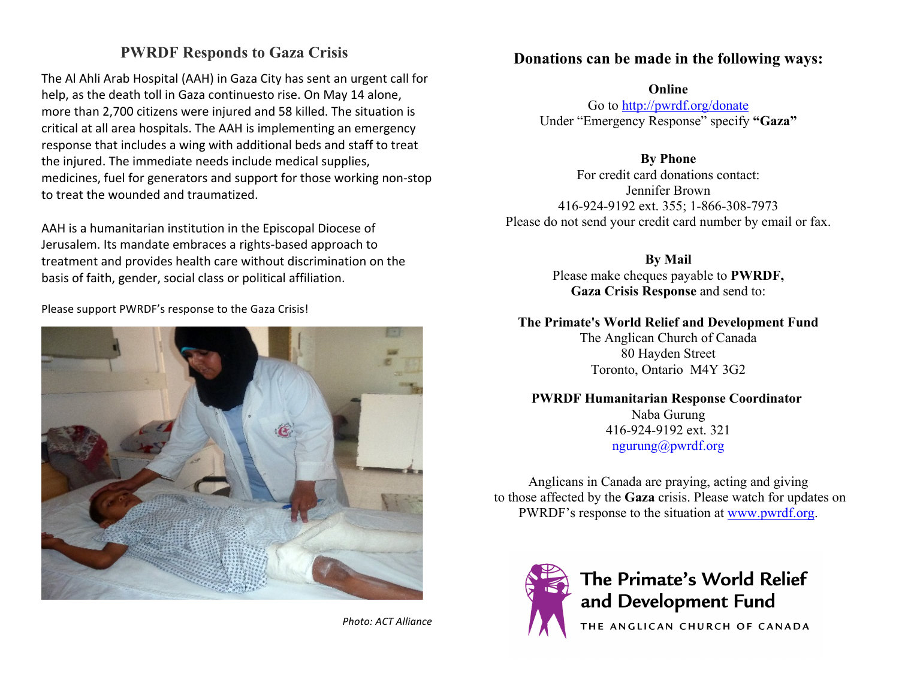## **PWRDF Responds to Gaza Crisis**

The Al Ahli Arab Hospital (AAH) in Gaza City has sent an urgent call for help, as the death toll in Gaza continuesto rise. On May 14 alone, more than 2,700 citizens were injured and 58 killed. The situation is critical at all area hospitals. The AAH is implementing an emergency response that includes a wing with additional beds and staff to treat the injured. The immediate needs include medical supplies, medicines, fuel for generators and support for those working non-stop to treat the wounded and traumatized.

AAH is a humanitarian institution in the Episcopal Diocese of Jerusalem. Its mandate embraces a rights-based approach to treatment and provides health care without discrimination on the basis of faith, gender, social class or political affiliation.

Please support PWRDF's response to the Gaza Crisis!



*Photo: ACT Alliance*

#### **Donations can be made in the following ways:**

**Online**

Go to http://pwrdf.org/donate Under "Emergency Response" specify **"Gaza"**

**By Phone**

For credit card donations contact: Jennifer Brown 416-924-9192 ext. 355; 1-866-308-7973 Please do not send your credit card number by email or fax.

**By Mail**

Please make cheques payable to **PWRDF, Gaza Crisis Response** and send to:

#### **The Primate's World Relief and Development Fund**

The Anglican Church of Canada 80 Hayden Street Toronto, Ontario M4Y 3G2

#### **PWRDF Humanitarian Response Coordinator**

Naba Gurung 416-924-9192 ext. 321 ngurung@pwrdf.org

Anglicans in Canada are praying, acting and giving to those affected by the **Gaza** crisis. Please watch for updates on PWRDF's response to the situation at www.pwrdf.org.



# The Primate's World Relief and Development Fund

THE ANGLICAN CHURCH OF CANADA